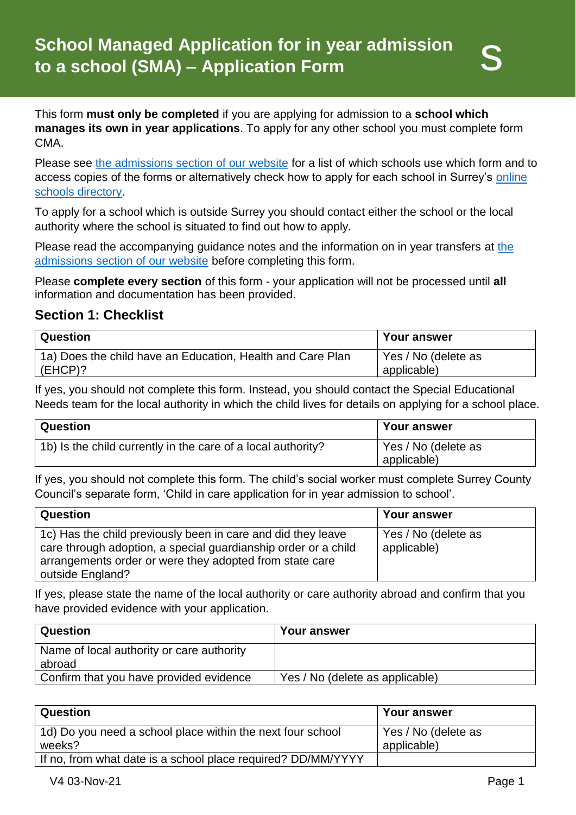This form **must only be completed** if you are applying for admission to a **school which manages its own in year applications**. To apply for any other school you must complete form CMA.

Please see [the admissions section of our website](http://www.surreycc.gov.uk/admissions) for a list of which schools use which form and to access copies of the forms or alternatively check how to apply for each school in Surrey's [online](https://surreycc.gov.uk/schools)  [schools directory.](https://surreycc.gov.uk/schools)

To apply for a school which is outside Surrey you should contact either the school or the local authority where the school is situated to find out how to apply.

Please read the accompanying guidance notes and the information on in year transfers at [the](http://www.surreycc.gov.uk/admissions)  [admissions section of our website](http://www.surreycc.gov.uk/admissions) before completing this form.

Please **complete every section** of this form - your application will not be processed until **all** information and documentation has been provided.

### **Section 1: Checklist**

| <b>Question</b>                                            | <b>Your answer</b>  |
|------------------------------------------------------------|---------------------|
| 1a) Does the child have an Education, Health and Care Plan | Yes / No (delete as |
| $(EHCP)$ ?                                                 | applicable)         |

If yes, you should not complete this form. Instead, you should contact the Special Educational Needs team for the local authority in which the child lives for details on applying for a school place.

| Question                                                     | <b>Your answer</b>                 |
|--------------------------------------------------------------|------------------------------------|
| 1b) Is the child currently in the care of a local authority? | Yes / No (delete as<br>applicable) |

If yes, you should not complete this form. The child's social worker must complete Surrey County Council's separate form, 'Child in care application for in year admission to school'.

| Question                                                                                                                                                                                                      | <b>Your answer</b>                 |
|---------------------------------------------------------------------------------------------------------------------------------------------------------------------------------------------------------------|------------------------------------|
| 1c) Has the child previously been in care and did they leave<br>care through adoption, a special guardianship order or a child<br>arrangements order or were they adopted from state care<br>outside England? | Yes / No (delete as<br>applicable) |

If yes, please state the name of the local authority or care authority abroad and confirm that you have provided evidence with your application.

| Question                                            | <b>Your answer</b>              |
|-----------------------------------------------------|---------------------------------|
| Name of local authority or care authority<br>abroad |                                 |
| Confirm that you have provided evidence             | Yes / No (delete as applicable) |

| <b>Question</b>                                                      | <b>Your answer</b>                 |
|----------------------------------------------------------------------|------------------------------------|
| 1d) Do you need a school place within the next four school<br>weeks? | Yes / No (delete as<br>applicable) |
| If no, from what date is a school place required? DD/MM/YYYY         |                                    |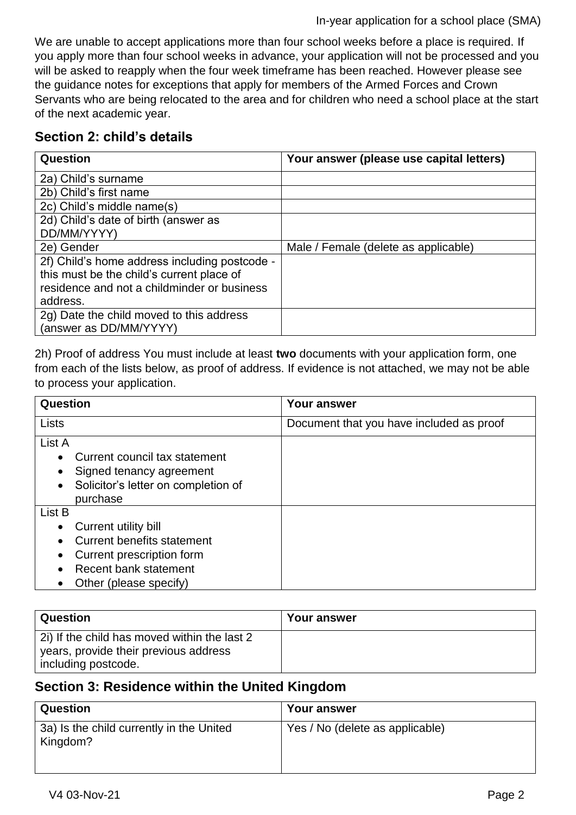#### In-year application for a school place (SMA)

We are unable to accept applications more than four school weeks before a place is required. If you apply more than four school weeks in advance, your application will not be processed and you will be asked to reapply when the four week timeframe has been reached. However please see the guidance notes for exceptions that apply for members of the Armed Forces and Crown Servants who are being relocated to the area and for children who need a school place at the start of the next academic year.

### **Section 2: child's details**

| Question                                      | Your answer (please use capital letters) |
|-----------------------------------------------|------------------------------------------|
| 2a) Child's surname                           |                                          |
| 2b) Child's first name                        |                                          |
| 2c) Child's middle name(s)                    |                                          |
| 2d) Child's date of birth (answer as          |                                          |
| DD/MM/YYYY)                                   |                                          |
| 2e) Gender                                    | Male / Female (delete as applicable)     |
| 2f) Child's home address including postcode - |                                          |
| this must be the child's current place of     |                                          |
| residence and not a childminder or business   |                                          |
| address.                                      |                                          |
| 2g) Date the child moved to this address      |                                          |
| (answer as DD/MM/YYYY)                        |                                          |

2h) Proof of address You must include at least **two** documents with your application form, one from each of the lists below, as proof of address. If evidence is not attached, we may not be able to process your application.

| Question                                                                                                                                                                                          | <b>Your answer</b>                       |
|---------------------------------------------------------------------------------------------------------------------------------------------------------------------------------------------------|------------------------------------------|
| Lists                                                                                                                                                                                             | Document that you have included as proof |
| List A<br>Current council tax statement<br>$\bullet$<br>Signed tenancy agreement<br>Solicitor's letter on completion of<br>$\bullet$<br>purchase                                                  |                                          |
| List B<br>Current utility bill<br>$\bullet$<br><b>Current benefits statement</b><br>$\bullet$<br>Current prescription form<br><b>Recent bank statement</b><br>Other (please specify)<br>$\bullet$ |                                          |

| <b>Question</b>                                                                                              | Your answer |
|--------------------------------------------------------------------------------------------------------------|-------------|
| 2i) If the child has moved within the last 2<br>years, provide their previous address<br>including postcode. |             |

# **Section 3: Residence within the United Kingdom**

| Question                                             | Your answer                     |
|------------------------------------------------------|---------------------------------|
| 3a) Is the child currently in the United<br>Kingdom? | Yes / No (delete as applicable) |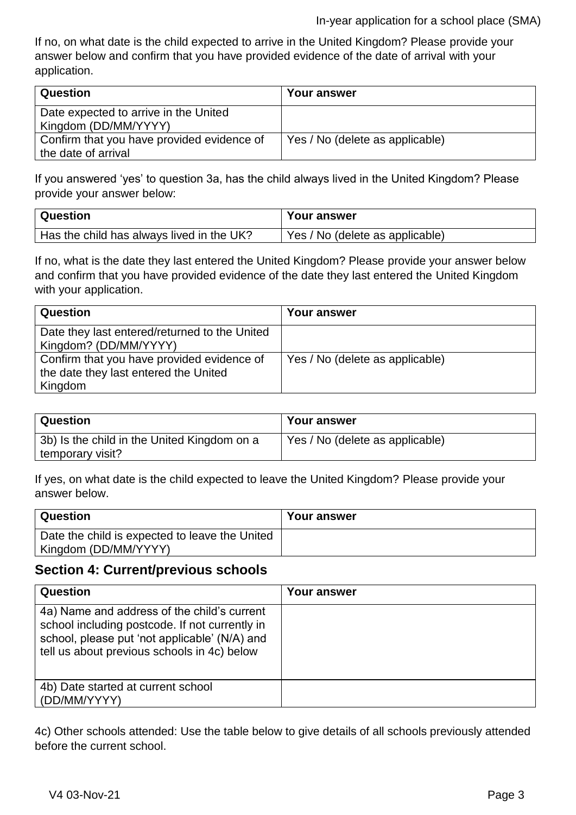If no, on what date is the child expected to arrive in the United Kingdom? Please provide your answer below and confirm that you have provided evidence of the date of arrival with your application.

| <b>Question</b>                                               | Your answer                     |
|---------------------------------------------------------------|---------------------------------|
| Date expected to arrive in the United<br>Kingdom (DD/MM/YYYY) |                                 |
| Confirm that you have provided evidence of                    | Yes / No (delete as applicable) |
| the date of arrival                                           |                                 |

If you answered 'yes' to question 3a, has the child always lived in the United Kingdom? Please provide your answer below:

| Question                                  | Your answer                     |
|-------------------------------------------|---------------------------------|
| Has the child has always lived in the UK? | Yes / No (delete as applicable) |

If no, what is the date they last entered the United Kingdom? Please provide your answer below and confirm that you have provided evidence of the date they last entered the United Kingdom with your application.

| Question                                                                                       | Your answer                     |
|------------------------------------------------------------------------------------------------|---------------------------------|
| Date they last entered/returned to the United<br>Kingdom? (DD/MM/YYYY)                         |                                 |
| Confirm that you have provided evidence of<br>the date they last entered the United<br>Kingdom | Yes / No (delete as applicable) |

| Question                                    | <b>Your answer</b>              |
|---------------------------------------------|---------------------------------|
| 3b) Is the child in the United Kingdom on a | Yes / No (delete as applicable) |
| temporary visit?                            |                                 |

If yes, on what date is the child expected to leave the United Kingdom? Please provide your answer below.

| Question                                       | Your answer |
|------------------------------------------------|-------------|
| Date the child is expected to leave the United |             |
| Kingdom (DD/MM/YYYY)                           |             |

### **Section 4: Current/previous schools**

| Question                                                                                                                                                                                      | Your answer |
|-----------------------------------------------------------------------------------------------------------------------------------------------------------------------------------------------|-------------|
| 4a) Name and address of the child's current<br>school including postcode. If not currently in<br>school, please put 'not applicable' (N/A) and<br>tell us about previous schools in 4c) below |             |
| 4b) Date started at current school<br>(DD/MM/YYYY)                                                                                                                                            |             |

4c) Other schools attended: Use the table below to give details of all schools previously attended before the current school.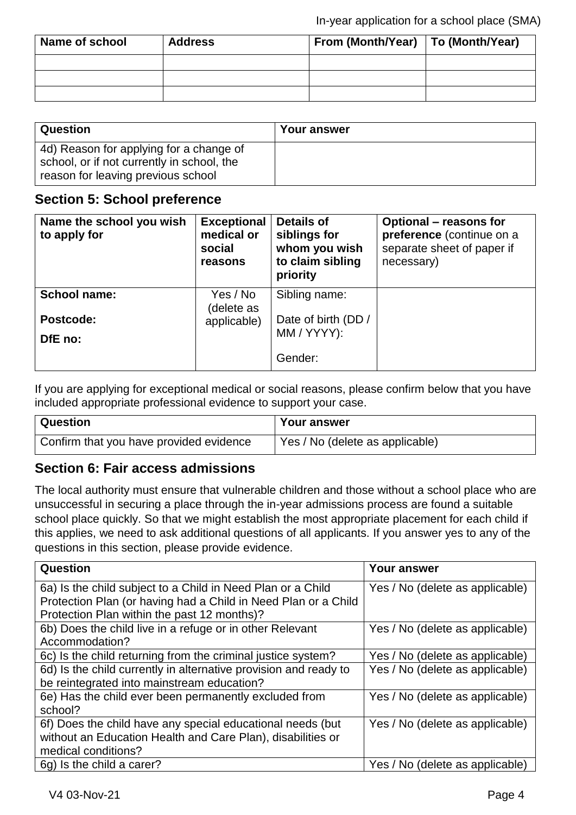| Name of school | <b>Address</b> | From (Month/Year)   To (Month/Year) |  |
|----------------|----------------|-------------------------------------|--|
|                |                |                                     |  |
|                |                |                                     |  |
|                |                |                                     |  |

| <b>Question</b>                                                                                                             | Your answer |
|-----------------------------------------------------------------------------------------------------------------------------|-------------|
| 4d) Reason for applying for a change of<br>school, or if not currently in school, the<br>reason for leaving previous school |             |

### **Section 5: School preference**

| Name the school you wish<br>to apply for | <b>Exceptional</b><br>medical or<br>social<br>reasons | <b>Details of</b><br>siblings for<br>whom you wish<br>to claim sibling<br>priority | <b>Optional - reasons for</b><br>preference (continue on a<br>separate sheet of paper if<br>necessary) |
|------------------------------------------|-------------------------------------------------------|------------------------------------------------------------------------------------|--------------------------------------------------------------------------------------------------------|
| <b>School name:</b>                      | Yes / No<br>(delete as                                | Sibling name:                                                                      |                                                                                                        |
| Postcode:                                | applicable)                                           | Date of birth (DD /<br>MM / YYYY):                                                 |                                                                                                        |
| DfE no:                                  |                                                       | Gender:                                                                            |                                                                                                        |
|                                          |                                                       |                                                                                    |                                                                                                        |

If you are applying for exceptional medical or social reasons, please confirm below that you have included appropriate professional evidence to support your case.

| <b>Question</b>                         | <b>Your answer</b>              |
|-----------------------------------------|---------------------------------|
| Confirm that you have provided evidence | Yes / No (delete as applicable) |

## **Section 6: Fair access admissions**

The local authority must ensure that vulnerable children and those without a school place who are unsuccessful in securing a place through the in-year admissions process are found a suitable school place quickly. So that we might establish the most appropriate placement for each child if this applies, we need to ask additional questions of all applicants. If you answer yes to any of the questions in this section, please provide evidence.

| Question                                                         | <b>Your answer</b>              |
|------------------------------------------------------------------|---------------------------------|
| 6a) Is the child subject to a Child in Need Plan or a Child      | Yes / No (delete as applicable) |
| Protection Plan (or having had a Child in Need Plan or a Child   |                                 |
| Protection Plan within the past 12 months)?                      |                                 |
| 6b) Does the child live in a refuge or in other Relevant         | Yes / No (delete as applicable) |
| Accommodation?                                                   |                                 |
| 6c) Is the child returning from the criminal justice system?     | Yes / No (delete as applicable) |
| 6d) Is the child currently in alternative provision and ready to | Yes / No (delete as applicable) |
| be reintegrated into mainstream education?                       |                                 |
| 6e) Has the child ever been permanently excluded from            | Yes / No (delete as applicable) |
| school?                                                          |                                 |
| 6f) Does the child have any special educational needs (but       | Yes / No (delete as applicable) |
| without an Education Health and Care Plan), disabilities or      |                                 |
| medical conditions?                                              |                                 |
| 6g) Is the child a carer?                                        | Yes / No (delete as applicable) |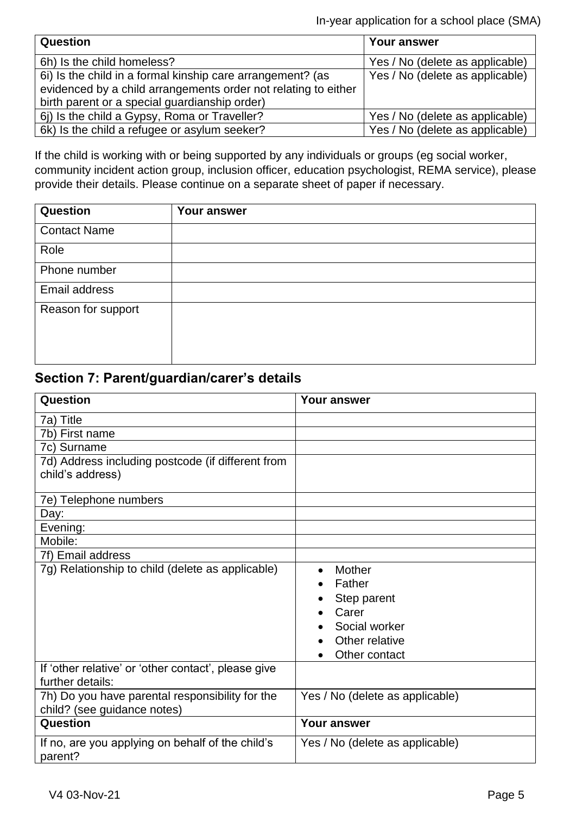In-year application for a school place (SMA)

| Question                                                       | Your answer                     |
|----------------------------------------------------------------|---------------------------------|
| 6h) Is the child homeless?                                     | Yes / No (delete as applicable) |
| 6i) Is the child in a formal kinship care arrangement? (as     | Yes / No (delete as applicable) |
| evidenced by a child arrangements order not relating to either |                                 |
| birth parent or a special guardianship order)                  |                                 |
| 6) Is the child a Gypsy, Roma or Traveller?                    | Yes / No (delete as applicable) |
| 6k) Is the child a refugee or asylum seeker?                   | Yes / No (delete as applicable) |

If the child is working with or being supported by any individuals or groups (eg social worker, community incident action group, inclusion officer, education psychologist, REMA service), please provide their details. Please continue on a separate sheet of paper if necessary.

| <b>Question</b>     | Your answer |
|---------------------|-------------|
| <b>Contact Name</b> |             |
| Role                |             |
| Phone number        |             |
| Email address       |             |
| Reason for support  |             |
|                     |             |
|                     |             |

# **Section 7: Parent/guardian/carer's details**

| <b>Question</b>                                                                | <b>Your answer</b>                                                                                        |
|--------------------------------------------------------------------------------|-----------------------------------------------------------------------------------------------------------|
| 7a) Title                                                                      |                                                                                                           |
| 7b) First name                                                                 |                                                                                                           |
| 7c) Surname                                                                    |                                                                                                           |
| 7d) Address including postcode (if different from<br>child's address)          |                                                                                                           |
| 7e) Telephone numbers                                                          |                                                                                                           |
| Day:                                                                           |                                                                                                           |
| Evening:                                                                       |                                                                                                           |
| Mobile:                                                                        |                                                                                                           |
| 7f) Email address                                                              |                                                                                                           |
| 7g) Relationship to child (delete as applicable)                               | Mother<br>$\bullet$<br>Father<br>Step parent<br>Carer<br>Social worker<br>Other relative<br>Other contact |
| If 'other relative' or 'other contact', please give<br>further details:        |                                                                                                           |
| 7h) Do you have parental responsibility for the<br>child? (see guidance notes) | Yes / No (delete as applicable)                                                                           |
| Question                                                                       | <b>Your answer</b>                                                                                        |
| If no, are you applying on behalf of the child's<br>parent?                    | Yes / No (delete as applicable)                                                                           |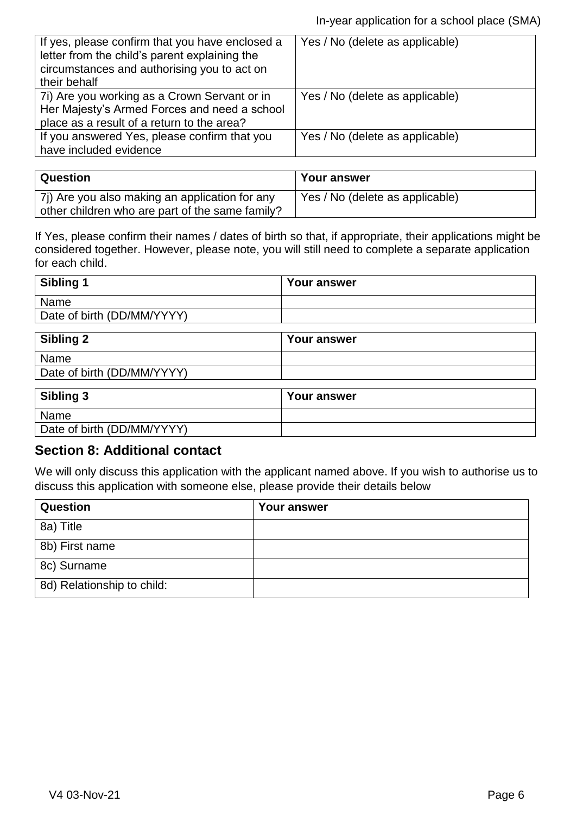| If yes, please confirm that you have enclosed a<br>letter from the child's parent explaining the<br>circumstances and authorising you to act on<br>their behalf | Yes / No (delete as applicable) |
|-----------------------------------------------------------------------------------------------------------------------------------------------------------------|---------------------------------|
| 7i) Are you working as a Crown Servant or in<br>Her Majesty's Armed Forces and need a school<br>place as a result of a return to the area?                      | Yes / No (delete as applicable) |
| If you answered Yes, please confirm that you<br>have included evidence                                                                                          | Yes / No (delete as applicable) |

| Question                                                                                          | Your answer                     |
|---------------------------------------------------------------------------------------------------|---------------------------------|
| 7j) Are you also making an application for any<br>other children who are part of the same family? | Yes / No (delete as applicable) |

If Yes, please confirm their names / dates of birth so that, if appropriate, their applications might be considered together. However, please note, you will still need to complete a separate application for each child.

| <b>Your answer</b> |
|--------------------|
|                    |
|                    |
|                    |

| <b>Sibling 2</b>           | <b>Your answer</b> |
|----------------------------|--------------------|
| Name                       |                    |
| Date of birth (DD/MM/YYYY) |                    |

| Sibling 3                  | <b>Your answer</b> |
|----------------------------|--------------------|
| Name                       |                    |
| Date of birth (DD/MM/YYYY) |                    |

## **Section 8: Additional contact**

We will only discuss this application with the applicant named above. If you wish to authorise us to discuss this application with someone else, please provide their details below

| <b>Question</b>            | <b>Your answer</b> |
|----------------------------|--------------------|
| 8a) Title                  |                    |
| 8b) First name             |                    |
| 8c) Surname                |                    |
| 8d) Relationship to child: |                    |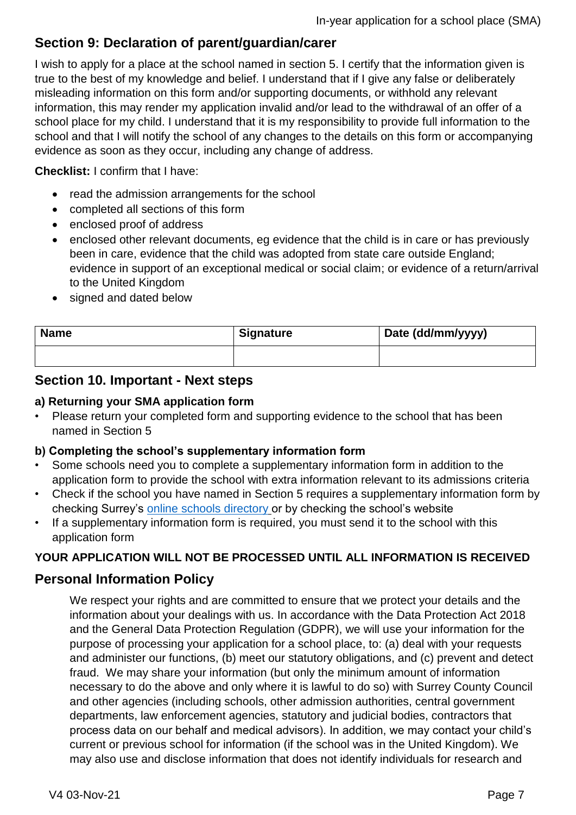# **Section 9: Declaration of parent/guardian/carer**

I wish to apply for a place at the school named in section 5. I certify that the information given is true to the best of my knowledge and belief. I understand that if I give any false or deliberately misleading information on this form and/or supporting documents, or withhold any relevant information, this may render my application invalid and/or lead to the withdrawal of an offer of a school place for my child. I understand that it is my responsibility to provide full information to the school and that I will notify the school of any changes to the details on this form or accompanying evidence as soon as they occur, including any change of address.

**Checklist:** I confirm that I have:

- read the admission arrangements for the school
- completed all sections of this form
- enclosed proof of address
- enclosed other relevant documents, eg evidence that the child is in care or has previously been in care, evidence that the child was adopted from state care outside England; evidence in support of an exceptional medical or social claim; or evidence of a return/arrival to the United Kingdom
- signed and dated below

| <b>Name</b> | <b>Signature</b> | Date (dd/mm/yyyy) |
|-------------|------------------|-------------------|
|             |                  |                   |

### **Section 10. Important - Next steps**

#### **a) Returning your SMA application form**

• Please return your completed form and supporting evidence to the school that has been named in Section 5

#### **b) Completing the school's supplementary information form**

- Some schools need you to complete a supplementary information form in addition to the application form to provide the school with extra information relevant to its admissions criteria
- Check if the school you have named in Section 5 requires a supplementary information form by checking Surrey's [online schools directory](https://surreycc.gov.uk/schools) or by checking the school's website
- If a supplementary information form is required, you must send it to the school with this application form

#### **YOUR APPLICATION WILL NOT BE PROCESSED UNTIL ALL INFORMATION IS RECEIVED**

### **Personal Information Policy**

We respect your rights and are committed to ensure that we protect your details and the information about your dealings with us. In accordance with the Data Protection Act 2018 and the General Data Protection Regulation (GDPR), we will use your information for the purpose of processing your application for a school place, to: (a) deal with your requests and administer our functions, (b) meet our statutory obligations, and (c) prevent and detect fraud. We may share your information (but only the minimum amount of information necessary to do the above and only where it is lawful to do so) with Surrey County Council and other agencies (including schools, other admission authorities, central government departments, law enforcement agencies, statutory and judicial bodies, contractors that process data on our behalf and medical advisors). In addition, we may contact your child's current or previous school for information (if the school was in the United Kingdom). We may also use and disclose information that does not identify individuals for research and